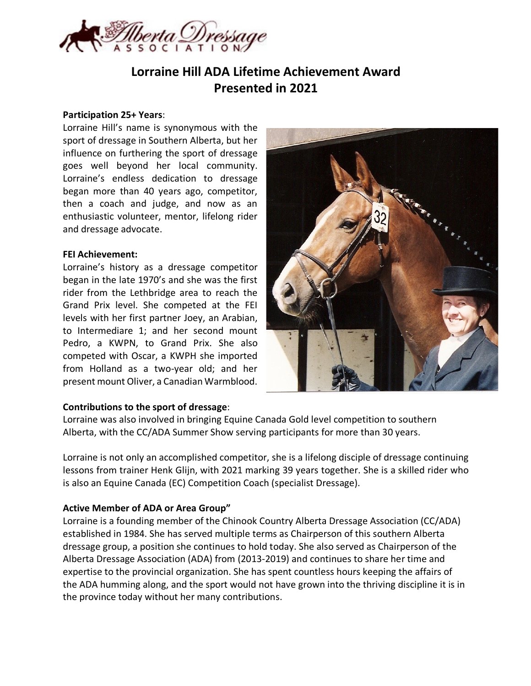

# **Lorraine Hill ADA Lifetime Achievement Award Presented in 2021**

### **Participation 25+ Years**:

Lorraine Hill's name is synonymous with the sport of dressage in Southern Alberta, but her influence on furthering the sport of dressage goes well beyond her local community. Lorraine's endless dedication to dressage began more than 40 years ago, competitor, then a coach and judge, and now as an enthusiastic volunteer, mentor, lifelong rider and dressage advocate.

#### **FEI Achievement:**

Lorraine's history as a dressage competitor began in the late 1970's and she was the first rider from the Lethbridge area to reach the Grand Prix level. She competed at the FEI levels with her first partner Joey, an Arabian, to Intermediare 1; and her second mount Pedro, a KWPN, to Grand Prix. She also competed with Oscar, a KWPH she imported from Holland as a two-year old; and her present mount Oliver, a Canadian Warmblood.

### **Contributions to the sport of dressage**:

Lorraine was also involved in bringing Equine Canada Gold level competition to southern Alberta, with the CC/ADA Summer Show serving participants for more than 30 years.

Lorraine is not only an accomplished competitor, she is a lifelong disciple of dressage continuing lessons from trainer Henk Glijn, with 2021 marking 39 years together. She is a skilled rider who is also an Equine Canada (EC) Competition Coach (specialist Dressage).

### **Active Member of ADA or Area Group"**

Lorraine is a founding member of the Chinook Country Alberta Dressage Association (CC/ADA) established in 1984. She has served multiple terms as Chairperson of this southern Alberta dressage group, a position she continues to hold today. She also served as Chairperson of the Alberta Dressage Association (ADA) from (2013-2019) and continues to share her time and expertise to the provincial organization. She has spent countless hours keeping the affairs of the ADA humming along, and the sport would not have grown into the thriving discipline it is in the province today without her many contributions.